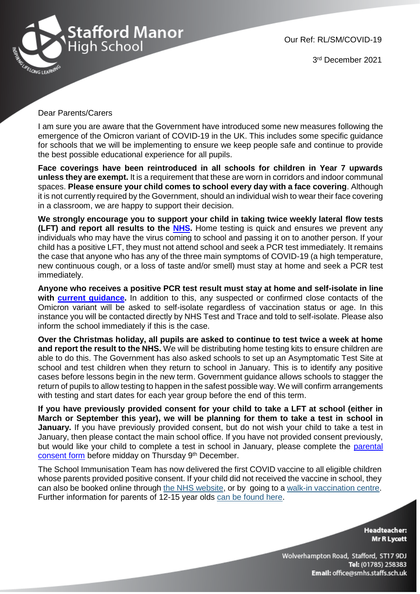

Our Ref: RL/SM/COVID-19

3 rd December 2021

## Dear Parents/Carers

I am sure you are aware that the Government have introduced some new measures following the emergence of the Omicron variant of COVID-19 in the UK. This includes some specific guidance for schools that we will be implementing to ensure we keep people safe and continue to provide the best possible educational experience for all pupils.

**Face coverings have been reintroduced in all schools for children in Year 7 upwards unless they are exempt.** It is a requirement that these are worn in corridors and indoor communal spaces. **Please ensure your child comes to school every day with a face covering**. Although it is not currently required by the Government, should an individual wish to wear their face covering in a classroom, we are happy to support their decision.

**We strongly encourage you to support your child in taking twice weekly lateral flow tests (LFT) and report all results to the [NHS.](https://www.gov.uk/report-covid19-result)** Home testing is quick and ensures we prevent any individuals who may have the virus coming to school and passing it on to another person. If your child has a positive LFT, they must not attend school and seek a PCR test immediately. It remains the case that anyone who has any of the three main symptoms of COVID-19 (a high temperature, new continuous cough, or a loss of taste and/or smell) must stay at home and seek a PCR test immediately.

**Anyone who receives a positive PCR test result must stay at home and self-isolate in line with [current guidance.](https://www.gov.uk/government/publications/covid-19-stay-at-home-guidance/stay-at-home-guidance-for-households-with-possible-coronavirus-covid-19-infection)** In addition to this, any suspected or confirmed close contacts of the Omicron variant will be asked to self-isolate regardless of vaccination status or age. In this instance you will be contacted directly by NHS Test and Trace and told to self-isolate. Please also inform the school immediately if this is the case.

**Over the Christmas holiday, all pupils are asked to continue to test twice a week at home and report the result to the NHS.** We will be distributing home testing kits to ensure children are able to do this. The Government has also asked schools to set up an Asymptomatic Test Site at school and test children when they return to school in January. This is to identify any positive cases before lessons begin in the new term. Government guidance allows schools to stagger the return of pupils to allow testing to happen in the safest possible way. We will confirm arrangements with testing and start dates for each year group before the end of this term.

**If you have previously provided consent for your child to take a LFT at school (either in March or September this year), we will be planning for them to take a test in school in January.** If you have previously provided consent, but do not wish your child to take a test in January, then please contact the main school office. If you have not provided consent previously, but would like your child to complete a test in school in January, please complete the [parental](https://docs.google.com/forms/d/e/1FAIpQLSd6GI2WCH5Z5CxdQWC-Iixp6nIG-RrCaWORxX4FzZ1WzQ1xCQ/viewform?usp=sf_link)  [consent form](https://docs.google.com/forms/d/e/1FAIpQLSd6GI2WCH5Z5CxdQWC-Iixp6nIG-RrCaWORxX4FzZ1WzQ1xCQ/viewform?usp=sf_link) before midday on Thursday 9<sup>th</sup> December.

The School Immunisation Team has now delivered the first COVID vaccine to all eligible children whose parents provided positive consent. If your child did not received the vaccine in school, they can also be booked online through [the NHS website,](https://lnks.gd/l/eyJhbGciOiJIUzI1NiJ9.eyJidWxsZXRpbl9saW5rX2lkIjoxMDUsInVyaSI6ImJwMjpjbGljayIsImJ1bGxldGluX2lkIjoiMjAyMTExMjkuNDk0ODgzMDEiLCJ1cmwiOiJodHRwczovL3d3dy5uaHMudWsvY29uZGl0aW9ucy9jb3JvbmF2aXJ1cy1jb3ZpZC0xOS9jb3JvbmF2aXJ1cy12YWNjaW5hdGlvbi9ib29rLWNvcm9uYXZpcnVzLXZhY2NpbmF0aW9uL2Jvb2stb3ItbWFuYWdlLWEtMXN0LW9yLTJuZC1kb3NlLW9mLXRoZS1jb3JvbmF2aXJ1cy1jb3ZpZC0xOS12YWNjaW5hdGlvbi8_dXRtX21lZGl1bT1nb3ZkZWxpdmVyeSZ1dG1fc291cmNlPWVtYWlsIn0.MtObck53d_beE-PI1mc9i4XiT3g3zuuiBoVJrb1wvLM/s/686409545/br/121853421102-l) or by going to a [walk-in vaccination centre.](https://lnks.gd/l/eyJhbGciOiJIUzI1NiJ9.eyJidWxsZXRpbl9saW5rX2lkIjoxMDYsInVyaSI6ImJwMjpjbGljayIsImJ1bGxldGluX2lkIjoiMjAyMTExMjkuNDk0ODgzMDEiLCJ1cmwiOiJodHRwczovL2JpdC5seS8zQXdPWk1HP3V0bV9tZWRpdW09Z292ZGVsaXZlcnkmdXRtX3NvdXJjZT1lbWFpbCJ9.JuOZLz3_2XLx0htsZ3Y25f3gDsDyEEHtjutG-pQOdTE/s/686409545/br/121853421102-l) Further information for parents of 12-15 year olds [can be found here.](https://lnks.gd/l/eyJhbGciOiJIUzI1NiJ9.eyJidWxsZXRpbl9saW5rX2lkIjoxMDcsInVyaSI6ImJwMjpjbGljayIsImJ1bGxldGluX2lkIjoiMjAyMTExMjkuNDk0ODgzMDEiLCJ1cmwiOiJodHRwczovL3d3dy50d2JzdGFmZnNhbmRzdG9rZS5vcmcudWsvY29yb25hdmlydXMvMTItMTUteWVhci1vbGRzP3V0bV9tZWRpdW09Z292ZGVsaXZlcnkmdXRtX3NvdXJjZT1lbWFpbCJ9.kmA2q3kGfa_xlqN9_tGrNUHaDLxjyqjuexvbuEqOmhk/s/686409545/br/121853421102-l)

> **Headteacher: Mr R Lycett**

Wolverhampton Road, Stafford, ST17 9DJ Tel: (01785) 258383 Email: office@smhs.staffs.sch.uk